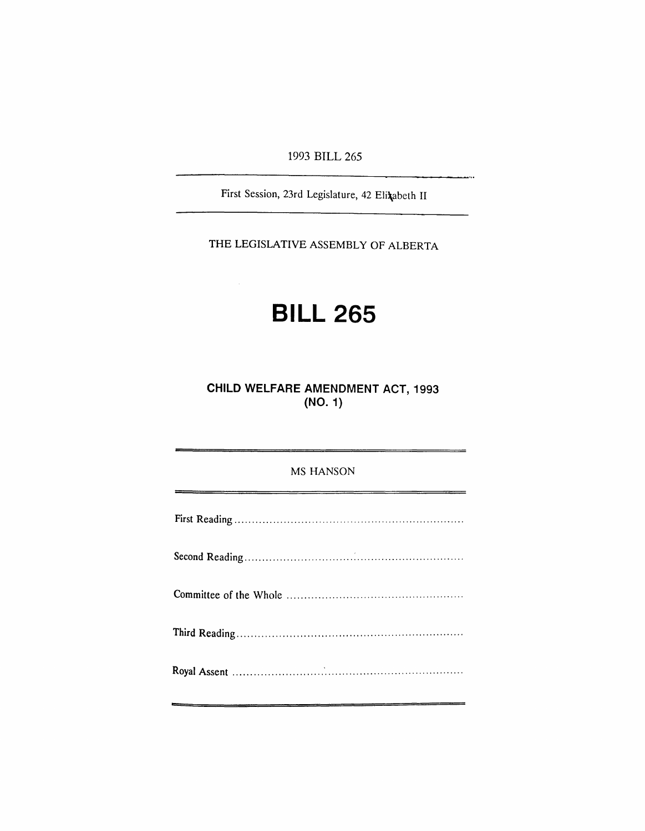1993 BILL 265

 $\ddotsc$ 

First Session, 23rd Legislature, 42 Eli\abeth II

THE LEGISLATIVE ASSEMBLY OF ALBERTA

# **BILL 265**

 $\sim$ 

**CHILD WELFARE AMENDMENT ACT, 1993 (NO.1)**

| <b>MS HANSON</b> |
|------------------|
|                  |
|                  |
|                  |
|                  |
|                  |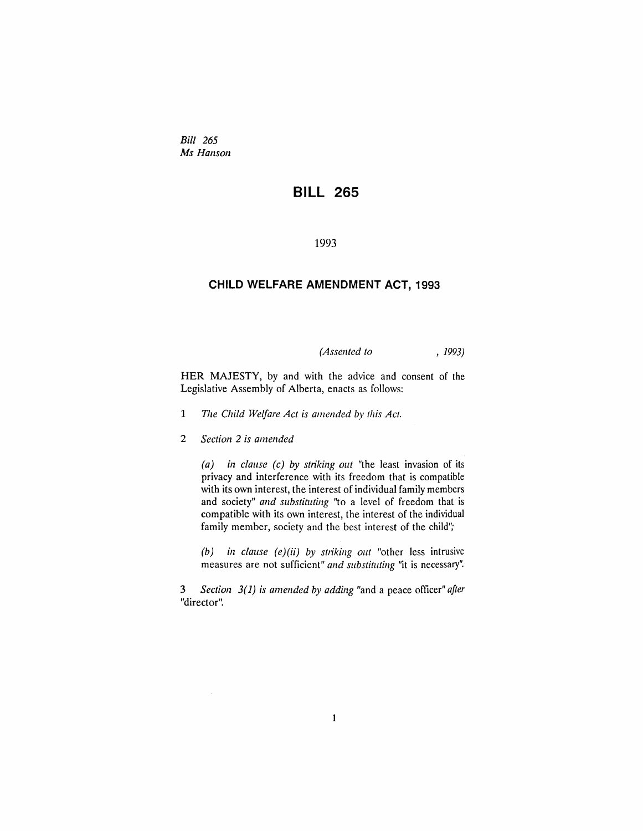*Bill 265 Ms Hanson*

## **BILL 265**

1993

### **CHILD WELFARE AMENDMENT ACT, 1993**

*(Assented to* , 1993)

HER MAJESTY, by and with the advice and consent of the Legislative Assembly of Alberta, enacts as follows:

- 1 *The Child Welfare Act is amended by this Act.*
- *2 Section* 2 *is amended*

*(a) in clause (c) by striking out* "the least invasion of its privacy and interference with its freedom that is compatible with its own interest, the interest of individual family members and society" *and substituting* "to a level of freedom that is compatible with its own interest, the interest of the individual family member, society and the best interest of the child";

 $(b)$  *in clause*  $(e)(ii)$  *by striking out* "other less intrusive measures are not sufficient" *and substituting* "it is necessary".

3 *Section* 3(1) *is amended by adding* "and a peace officer" *after* "director".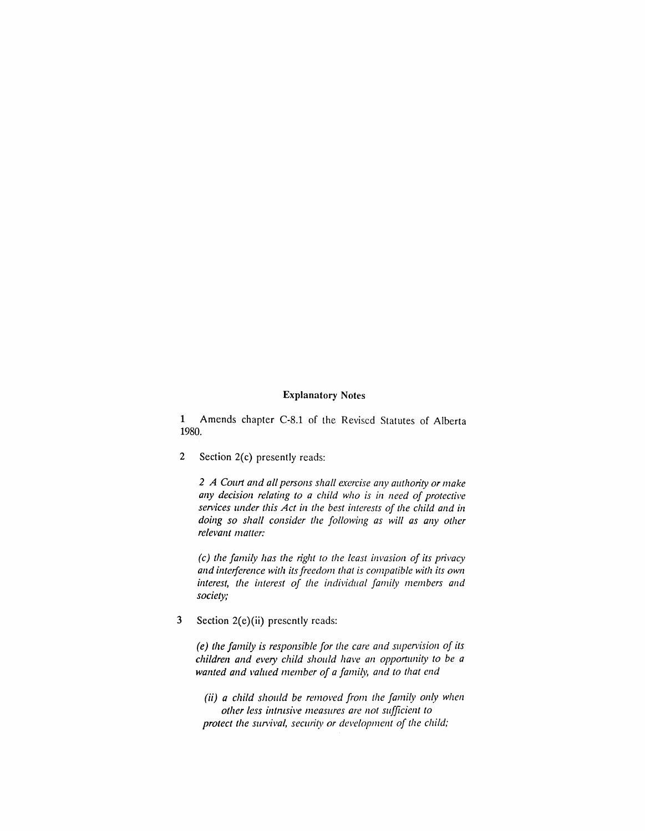#### **Explanatory** Notes

1 Amends chapter C-8.1 of the Revised Statutes of Alberta 1980.

2 Section 2(c) presently reads:

*2 A COll1t and all persons shall e.:rercise any authority or make any decision relating to a child who is in need of protective se/vices under this Act in the best interests of the child and in doing so shall consider the following as will as any other relevant matter:*

 $f(c)$  *the family has the right to the least invasion of its privacy and illlerjerence with its freedom that is compatible with its own interest, the interest of the individual family members and society;*

3 Section 2(e)(ii) presently reads:

*(e) the family is responsible for the care and supervision of its children and eve/)' child should have an OppOltllllity to be a wanted and valued member of a family, and to that end* 

*(ii) a child should be removed from the family only when other less int11lsive measures are not sufficient to protect the survival, security or development of the child;*